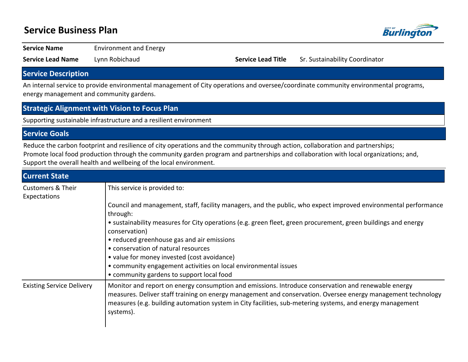# **Service Business Plan**



**Service Name** Environment and Energy

**Service Lead Name** Lynn Robichaud **Service Lead Title** Sr. Sustainability Coordinator

## **Service Description**

An internal service to provide environmental management of City operations and oversee/coordinate community environmental programs, energy management and community gardens.

### **Strategic Alignment with Vision to Focus Plan**

 $\mathbf{I}$ 

Supporting sustainable infrastructure and a resilient environment

### **Service Goals**

Reduce the carbon footprint and resilience of city operations and the community through action, collaboration and partnerships; Promote local food production through the community garden program and partnerships and collaboration with local organizations; and, Support the overall health and wellbeing of the local environment.

| <b>Current State</b>                         |                                                                                                                                                                                                                                                                                                                                               |
|----------------------------------------------|-----------------------------------------------------------------------------------------------------------------------------------------------------------------------------------------------------------------------------------------------------------------------------------------------------------------------------------------------|
| <b>Customers &amp; Their</b><br>Expectations | This service is provided to:                                                                                                                                                                                                                                                                                                                  |
|                                              | Council and management, staff, facility managers, and the public, who expect improved environmental performance<br>through:                                                                                                                                                                                                                   |
|                                              | • sustainability measures for City operations (e.g. green fleet, green procurement, green buildings and energy<br>conservation)                                                                                                                                                                                                               |
|                                              | • reduced greenhouse gas and air emissions                                                                                                                                                                                                                                                                                                    |
|                                              | • conservation of natural resources                                                                                                                                                                                                                                                                                                           |
|                                              | • value for money invested (cost avoidance)                                                                                                                                                                                                                                                                                                   |
|                                              | • community engagement activities on local environmental issues                                                                                                                                                                                                                                                                               |
|                                              | • community gardens to support local food                                                                                                                                                                                                                                                                                                     |
| <b>Existing Service Delivery</b>             | Monitor and report on energy consumption and emissions. Introduce conservation and renewable energy<br>measures. Deliver staff training on energy management and conservation. Oversee energy management technology<br>measures (e.g. building automation system in City facilities, sub-metering systems, and energy management<br>systems). |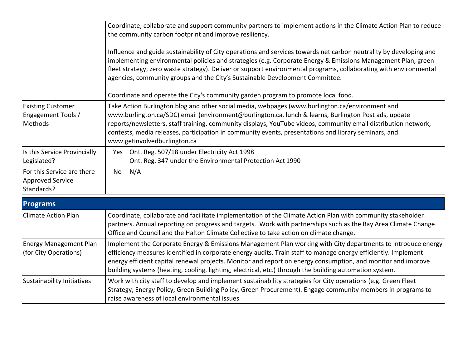|                                                                     | Coordinate, collaborate and support community partners to implement actions in the Climate Action Plan to reduce<br>the community carbon footprint and improve resiliency.                                                                                                                                                                                                                                                                                        |
|---------------------------------------------------------------------|-------------------------------------------------------------------------------------------------------------------------------------------------------------------------------------------------------------------------------------------------------------------------------------------------------------------------------------------------------------------------------------------------------------------------------------------------------------------|
|                                                                     | Influence and guide sustainability of City operations and services towards net carbon neutrality by developing and<br>implementing environmental policies and strategies (e.g. Corporate Energy & Emissions Management Plan, green<br>fleet strategy, zero waste strategy). Deliver or support environmental programs, collaborating with environmental<br>agencies, community groups and the City's Sustainable Development Committee.                           |
|                                                                     | Coordinate and operate the City's community garden program to promote local food.                                                                                                                                                                                                                                                                                                                                                                                 |
| <b>Existing Customer</b><br>Engagement Tools /<br>Methods           | Take Action Burlington blog and other social media, webpages (www.burlington.ca/environment and<br>www.burlington.ca/SDC) email (environment@burlington.ca, lunch & learns, Burlington Post ads, update<br>reports/newsletters, staff training, community displays, YouTube videos, community email distribution network,<br>contests, media releases, participation in community events, presentations and library seminars, and<br>www.getinvolvedburlington.ca |
| Is this Service Provincially<br>Legislated?                         | Ont. Reg. 507/18 under Electricity Act 1998<br>Yes<br>Ont. Reg. 347 under the Environmental Protection Act 1990                                                                                                                                                                                                                                                                                                                                                   |
| For this Service are there<br><b>Approved Service</b><br>Standards? | N/A<br>No                                                                                                                                                                                                                                                                                                                                                                                                                                                         |
| <b>Programs</b>                                                     |                                                                                                                                                                                                                                                                                                                                                                                                                                                                   |
| <b>Climate Action Plan</b>                                          | Coordinate, collaborate and facilitate implementation of the Climate Action Plan with community stakeholder<br>partners. Annual reporting on progress and targets. Work with partnerships such as the Bay Area Climate Change<br>Office and Council and the Halton Climate Collective to take action on climate change.                                                                                                                                           |

| <b>Energy Management Plan</b><br>(for City Operations) | Implement the Corporate Energy & Emissions Management Plan working with City departments to introduce energy<br>efficiency measures identified in corporate energy audits. Train staff to manage energy efficiently. Implement<br>energy efficient capital renewal projects. Monitor and report on energy consumption, and monitor and improve<br>building systems (heating, cooling, lighting, electrical, etc.) through the building automation system. |
|--------------------------------------------------------|-----------------------------------------------------------------------------------------------------------------------------------------------------------------------------------------------------------------------------------------------------------------------------------------------------------------------------------------------------------------------------------------------------------------------------------------------------------|
| Sustainability Initiatives                             | Work with city staff to develop and implement sustainability strategies for City operations (e.g. Green Fleet<br>Strategy, Energy Policy, Green Building Policy, Green Procurement). Engage community members in programs to<br>raise awareness of local environmental issues.                                                                                                                                                                            |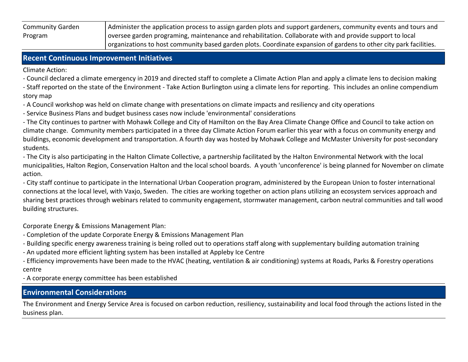| <b>Community Garden</b> | Administer the application process to assign garden plots and support gardeners, community events and tours and    |
|-------------------------|--------------------------------------------------------------------------------------------------------------------|
| Program                 | oversee garden programing, maintenance and rehabilitation. Collaborate with and provide support to local           |
|                         | organizations to host community based garden plots. Coordinate expansion of gardens to other city park facilities. |

### **Recent Continuous Improvement Initiatives**

Climate Action:

- Council declared a climate emergency in 2019 and directed staff to complete a Climate Action Plan and apply a climate lens to decision making

- Staff reported on the state of the Environment - Take Action Burlington using a climate lens for reporting. This includes an online compendium story map

- A Council workshop was held on climate change with presentations on climate impacts and resiliency and city operations

- Service Business Plans and budget business cases now include 'environmental' considerations

- The City continues to partner with Mohawk College and City of Hamilton on the Bay Area Climate Change Office and Council to take action on climate change. Community members participated in a three day Climate Action Forum earlier this year with a focus on community energy and buildings, economic development and transportation. A fourth day was hosted by Mohawk College and McMaster University for post-secondary students.

- The City is also participating in the Halton Climate Collective, a partnership facilitated by the Halton Environmental Network with the local municipalities, Halton Region, Conservation Halton and the local school boards. A youth 'unconference' is being planned for November on climate action.

- City staff continue to participate in the International Urban Cooperation program, administered by the European Union to foster international connections at the local level, with Vaxjo, Sweden. The cities are working together on action plans utilizing an ecosystem services approach and sharing best practices through webinars related to community engagement, stormwater management, carbon neutral communities and tall wood building structures.

Corporate Energy & Emissions Management Plan:

- Completion of the update Corporate Energy & Emissions Management Plan
- Building specific energy awareness training is being rolled out to operations staff along with supplementary building automation training
- An updated more efficient lighting system has been installed at Appleby Ice Centre

- Efficiency improvements have been made to the HVAC (heating, ventilation & air conditioning) systems at Roads, Parks & Forestry operations centre

- A corporate energy committee has been established

## **Environmental Considerations**

The Environment and Energy Service Area is focused on carbon reduction, resiliency, sustainability and local food through the actions listed in the business plan.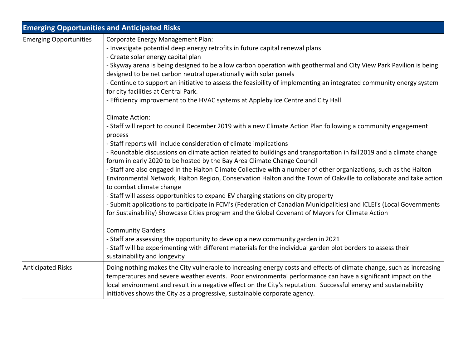|                               | <b>Emerging Opportunities and Anticipated Risks</b>                                                                                                                                                                                                                                                                                                                                                                                                                                                                                                                                                                                                                                                                                                                                                                                                                                                                                                                                                                                                                                                                               |
|-------------------------------|-----------------------------------------------------------------------------------------------------------------------------------------------------------------------------------------------------------------------------------------------------------------------------------------------------------------------------------------------------------------------------------------------------------------------------------------------------------------------------------------------------------------------------------------------------------------------------------------------------------------------------------------------------------------------------------------------------------------------------------------------------------------------------------------------------------------------------------------------------------------------------------------------------------------------------------------------------------------------------------------------------------------------------------------------------------------------------------------------------------------------------------|
| <b>Emerging Opportunities</b> | Corporate Energy Management Plan:<br>- Investigate potential deep energy retrofits in future capital renewal plans<br>- Create solar energy capital plan<br>- Skyway arena is being designed to be a low carbon operation with geothermal and City View Park Pavilion is being<br>designed to be net carbon neutral operationally with solar panels<br>- Continue to support an initiative to assess the feasibility of implementing an integrated community energy system<br>for city facilities at Central Park.<br>- Efficiency improvement to the HVAC systems at Appleby Ice Centre and City Hall                                                                                                                                                                                                                                                                                                                                                                                                                                                                                                                            |
|                               | <b>Climate Action:</b><br>- Staff will report to council December 2019 with a new Climate Action Plan following a community engagement<br>process<br>- Staff reports will include consideration of climate implications<br>- Roundtable discussions on climate action related to buildings and transportation in fall 2019 and a climate change<br>forum in early 2020 to be hosted by the Bay Area Climate Change Council<br>- Staff are also engaged in the Halton Climate Collective with a number of other organizations, such as the Halton<br>Environmental Network, Halton Region, Conservation Halton and the Town of Oakville to collaborate and take action<br>to combat climate change<br>- Staff will assess opportunities to expand EV charging stations on city property<br>- Submit applications to participate in FCM's (Federation of Canadian Municipalities) and ICLEI's (Local Governments<br>for Sustainability) Showcase Cities program and the Global Covenant of Mayors for Climate Action<br><b>Community Gardens</b><br>- Staff are assessing the opportunity to develop a new community garden in 2021 |
|                               | - Staff will be experimenting with different materials for the individual garden plot borders to assess their<br>sustainability and longevity                                                                                                                                                                                                                                                                                                                                                                                                                                                                                                                                                                                                                                                                                                                                                                                                                                                                                                                                                                                     |
| <b>Anticipated Risks</b>      | Doing nothing makes the City vulnerable to increasing energy costs and effects of climate change, such as increasing<br>temperatures and severe weather events. Poor environmental performance can have a significant impact on the<br>local environment and result in a negative effect on the City's reputation. Successful energy and sustainability<br>initiatives shows the City as a progressive, sustainable corporate agency.                                                                                                                                                                                                                                                                                                                                                                                                                                                                                                                                                                                                                                                                                             |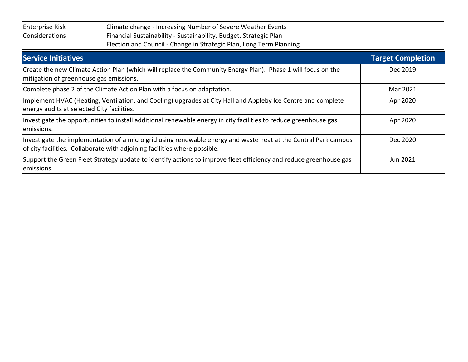| <b>Enterprise Risk</b><br>Considerations   | Climate change - Increasing Number of Severe Weather Events<br>Financial Sustainability - Sustainability, Budget, Strategic Plan<br>Election and Council - Change in Strategic Plan, Long Term Planning |                          |
|--------------------------------------------|---------------------------------------------------------------------------------------------------------------------------------------------------------------------------------------------------------|--------------------------|
| <b>Service Initiatives</b>                 |                                                                                                                                                                                                         | <b>Target Completion</b> |
| mitigation of greenhouse gas emissions.    | Create the new Climate Action Plan (which will replace the Community Energy Plan). Phase 1 will focus on the                                                                                            | Dec 2019                 |
|                                            | Complete phase 2 of the Climate Action Plan with a focus on adaptation.                                                                                                                                 | Mar 2021                 |
| energy audits at selected City facilities. | Implement HVAC (Heating, Ventilation, and Cooling) upgrades at City Hall and Appleby Ice Centre and complete                                                                                            | Apr 2020                 |
| emissions.                                 | Investigate the opportunities to install additional renewable energy in city facilities to reduce greenhouse gas                                                                                        | Apr 2020                 |
|                                            | Investigate the implementation of a micro grid using renewable energy and waste heat at the Central Park campus                                                                                         | Dec 2020                 |

| of city facilities. Collaborate with adjoining facilities where possible.                                         |          |
|-------------------------------------------------------------------------------------------------------------------|----------|
| Support the Green Fleet Strategy update to identify actions to improve fleet efficiency and reduce greenhouse gas | Jun 2021 |
| emissions.                                                                                                        |          |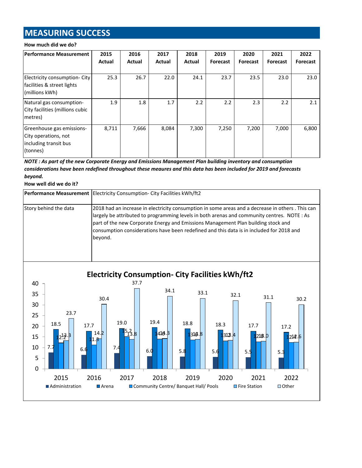# **MEASURING SUCCESS**

#### **How much did we do?**

| <b>Performance Measurement</b>                                                         | 2015<br>Actual | 2016<br>Actual | 2017<br>Actual | 2018<br>Actual | 2019<br>Forecast | 2020<br>Forecast | 2021<br>Forecast | 2022<br><b>Forecast</b> |
|----------------------------------------------------------------------------------------|----------------|----------------|----------------|----------------|------------------|------------------|------------------|-------------------------|
| Electricity consumption- City<br>facilities & street lights<br>(millions kWh)          | 25.3           | 26.7           | 22.0           | 24.1           | 23.7             | 23.5             | 23.0             | 23.0                    |
| Natural gas consumption-<br>City facilities (millions cubic<br>metres)                 | 1.9            | 1.8            | 1.7            | 2.2            | 2.2              | 2.3              | 2.2              | 2.1                     |
| Greenhouse gas emissions-<br>City operations, not<br>including transit bus<br>(tonnes) | 8,711          | 7,666          | 8,084          | 7,300          | 7,250            | 7,200            | 7,000            | 6,800                   |

*NOTE : As part of the new Corporate Energy and Emissions Management Plan building inventory and consumption considerations have been redefined throughout these meaures and this data has been included for 2019 and forecasts beyond.*

**How well did we do it?**

|                       | Performance Measurement   Electricity Consumption- City Facilities kWh/ft2                                                                                                                                                                                                                                                                                                                   |
|-----------------------|----------------------------------------------------------------------------------------------------------------------------------------------------------------------------------------------------------------------------------------------------------------------------------------------------------------------------------------------------------------------------------------------|
| Story behind the data | 2018 had an increase in electricity consumption in some areas and a decrease in others . This can<br>largely be attributed to programming levels in both arenas and community centres. NOTE : As<br>part of the new Corporate Energy and Emissions Management Plan building stock and<br>consumption considerations have been redefined and this data is in included for 2018 and<br>bevond. |

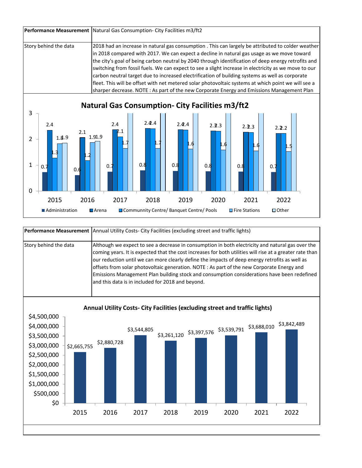|                       | Performance Measurement   Natural Gas Consumption- City Facilities m3/ft2                                                                                                                                                                                                                                                                                                                                                                                                                                                                                                                                                                                                                                              |
|-----------------------|------------------------------------------------------------------------------------------------------------------------------------------------------------------------------------------------------------------------------------------------------------------------------------------------------------------------------------------------------------------------------------------------------------------------------------------------------------------------------------------------------------------------------------------------------------------------------------------------------------------------------------------------------------------------------------------------------------------------|
| Story behind the data | 2018 had an increase in natural gas consumption . This can largely be attributed to colder weather<br>in 2018 compared with 2017. We can expect a decline in natural gas usage as we move toward<br>the city's goal of being carbon neutral by 2040 through identification of deep energy retrofits and<br>switching from fossil fuels. We can expect to see a slight increase in electricity as we move to our<br>carbon neutral target due to increased electrification of building systems as well as corporate<br>fleet. This will be offset with net metered solar photovoltaic systems at which point we will see a<br>sharper decrease. NOTE: As part of the new Corporate Energy and Emissions Management Plan |



|                       | Performance Measurement   Annual Utility Costs- City Facilities (excluding street and traffic lights)                                                                                                                                                                                                                                                                                                                                                                                                                                                           |
|-----------------------|-----------------------------------------------------------------------------------------------------------------------------------------------------------------------------------------------------------------------------------------------------------------------------------------------------------------------------------------------------------------------------------------------------------------------------------------------------------------------------------------------------------------------------------------------------------------|
| Story behind the data | Although we expect to see a decrease in consumption in both electricity and natural gas over the<br>coming years. It is expected that the cost increases for both utilities will rise at a greater rate than<br>our reduction until we can more clearly define the impacts of deep energy retrofits as well as<br>offsets from solar photovoltaic generation. NOTE: As part of the new Corporate Energy and<br>Emissions Management Plan building stock and consumption considerations have been redefined<br>and this data is in included for 2018 and beyond. |

**Annual Utility Costs- City Facilities (excluding street and traffic lights)**

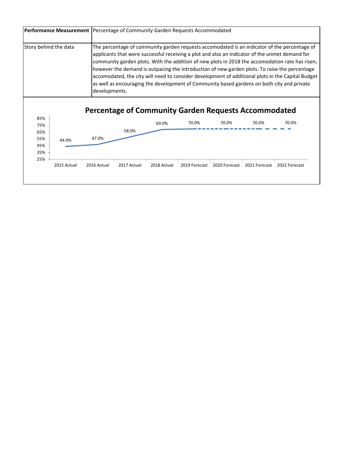|            | Story behind the data |               |       |       |       |                                                                      |       | The percentage of community garden requests accomodated is an indicator of the percentage of<br>applicants that were successful receiving a plot and also an indicator of the unmet demand for<br>community garden plots. With the addition of new plots in 2018 the accomodation rate has risen,<br>however the demand is outpacing the introduction of new garden plots. To raise the percentage<br>accomodated, the city will need to consider development of additional plots in the Capital Budget<br>as well as encouraging the development of Community based gardens on both city and private |
|------------|-----------------------|---------------|-------|-------|-------|----------------------------------------------------------------------|-------|-------------------------------------------------------------------------------------------------------------------------------------------------------------------------------------------------------------------------------------------------------------------------------------------------------------------------------------------------------------------------------------------------------------------------------------------------------------------------------------------------------------------------------------------------------------------------------------------------------|
|            |                       | developments. |       |       |       |                                                                      |       |                                                                                                                                                                                                                                                                                                                                                                                                                                                                                                                                                                                                       |
| 85%        |                       |               |       |       | 70.0% | <b>Percentage of Community Garden Requests Accommodated</b><br>70.0% | 70.0% | 70.0%                                                                                                                                                                                                                                                                                                                                                                                                                                                                                                                                                                                                 |
| 75%        |                       |               | 58.0% | 69.0% |       |                                                                      |       |                                                                                                                                                                                                                                                                                                                                                                                                                                                                                                                                                                                                       |
| 65%<br>55% |                       | 47.0%         |       |       |       |                                                                      |       |                                                                                                                                                                                                                                                                                                                                                                                                                                                                                                                                                                                                       |
| 45%        | 44.0%                 |               |       |       |       |                                                                      |       |                                                                                                                                                                                                                                                                                                                                                                                                                                                                                                                                                                                                       |
| 35%<br>25% |                       |               |       |       |       |                                                                      |       |                                                                                                                                                                                                                                                                                                                                                                                                                                                                                                                                                                                                       |